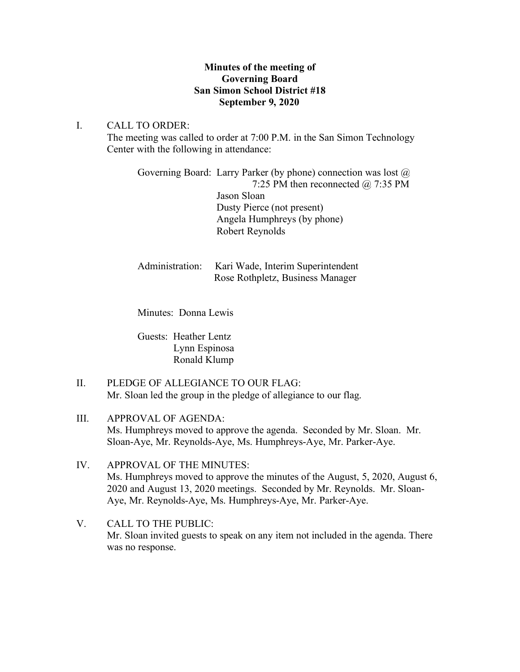## **Minutes of the meeting of Governing Board San Simon School District #18 September 9, 2020**

## I. CALL TO ORDER:

The meeting was called to order at 7:00 P.M. in the San Simon Technology Center with the following in attendance:

Governing Board: Larry Parker (by phone) connection was lost  $\omega$  7:25 PM then reconnected @ 7:35 PM Jason Sloan Dusty Pierce (not present) Angela Humphreys (by phone) Robert Reynolds

Administration: Kari Wade, Interim Superintendent Rose Rothpletz, Business Manager

Minutes: Donna Lewis

Guests: Heather Lentz Lynn Espinosa Ronald Klump

- II. PLEDGE OF ALLEGIANCE TO OUR FLAG: Mr. Sloan led the group in the pledge of allegiance to our flag.
- III. APPROVAL OF AGENDA: Ms. Humphreys moved to approve the agenda. Seconded by Mr. Sloan. Mr. Sloan-Aye, Mr. Reynolds-Aye, Ms. Humphreys-Aye, Mr. Parker-Aye.
- IV. APPROVAL OF THE MINUTES: Ms. Humphreys moved to approve the minutes of the August, 5, 2020, August 6, 2020 and August 13, 2020 meetings. Seconded by Mr. Reynolds. Mr. Sloan-Aye, Mr. Reynolds-Aye, Ms. Humphreys-Aye, Mr. Parker-Aye.
- V. CALL TO THE PUBLIC: Mr. Sloan invited guests to speak on any item not included in the agenda. There was no response.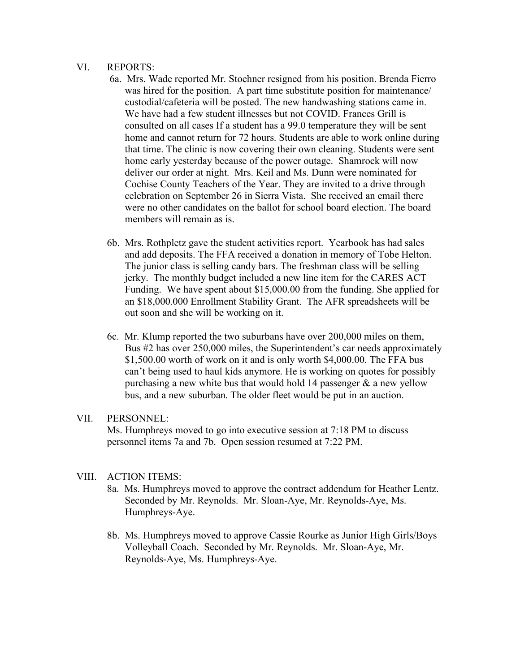#### VI. REPORTS:

- 6a. Mrs. Wade reported Mr. Stoehner resigned from his position. Brenda Fierro was hired for the position. A part time substitute position for maintenance/ custodial/cafeteria will be posted. The new handwashing stations came in. We have had a few student illnesses but not COVID. Frances Grill is consulted on all cases If a student has a 99.0 temperature they will be sent home and cannot return for 72 hours. Students are able to work online during that time. The clinic is now covering their own cleaning. Students were sent home early yesterday because of the power outage. Shamrock will now deliver our order at night. Mrs. Keil and Ms. Dunn were nominated for Cochise County Teachers of the Year. They are invited to a drive through celebration on September 26 in Sierra Vista. She received an email there were no other candidates on the ballot for school board election. The board members will remain as is.
- 6b. Mrs. Rothpletz gave the student activities report. Yearbook has had sales and add deposits. The FFA received a donation in memory of Tobe Helton. The junior class is selling candy bars. The freshman class will be selling jerky. The monthly budget included a new line item for the CARES ACT Funding. We have spent about \$15,000.00 from the funding. She applied for an \$18,000.000 Enrollment Stability Grant. The AFR spreadsheets will be out soon and she will be working on it.
- 6c. Mr. Klump reported the two suburbans have over 200,000 miles on them, Bus #2 has over 250,000 miles, the Superintendent's car needs approximately \$1,500.00 worth of work on it and is only worth \$4,000.00. The FFA bus can't being used to haul kids anymore. He is working on quotes for possibly purchasing a new white bus that would hold 14 passenger  $\&$  a new yellow bus, and a new suburban. The older fleet would be put in an auction.

#### VII. PERSONNEL:

Ms. Humphreys moved to go into executive session at 7:18 PM to discuss personnel items 7a and 7b. Open session resumed at 7:22 PM.

## VIII. ACTION ITEMS:

- 8a. Ms. Humphreys moved to approve the contract addendum for Heather Lentz. Seconded by Mr. Reynolds. Mr. Sloan-Aye, Mr. Reynolds-Aye, Ms. Humphreys-Aye.
- 8b. Ms. Humphreys moved to approve Cassie Rourke as Junior High Girls/Boys Volleyball Coach. Seconded by Mr. Reynolds. Mr. Sloan-Aye, Mr. Reynolds-Aye, Ms. Humphreys-Aye.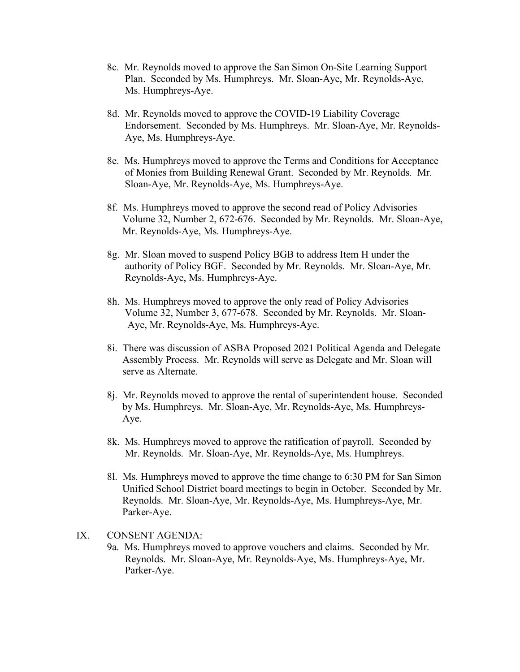- 8c. Mr. Reynolds moved to approve the San Simon On-Site Learning Support Plan. Seconded by Ms. Humphreys. Mr. Sloan-Aye, Mr. Reynolds-Aye, Ms. Humphreys-Aye.
- 8d. Mr. Reynolds moved to approve the COVID-19 Liability Coverage Endorsement. Seconded by Ms. Humphreys. Mr. Sloan-Aye, Mr. Reynolds- Aye, Ms. Humphreys-Aye.
- 8e. Ms. Humphreys moved to approve the Terms and Conditions for Acceptance of Monies from Building Renewal Grant. Seconded by Mr. Reynolds. Mr. Sloan-Aye, Mr. Reynolds-Aye, Ms. Humphreys-Aye.
- 8f. Ms. Humphreys moved to approve the second read of Policy Advisories Volume 32, Number 2, 672-676. Seconded by Mr. Reynolds. Mr. Sloan-Aye, Mr. Reynolds-Aye, Ms. Humphreys-Aye.
- 8g. Mr. Sloan moved to suspend Policy BGB to address Item H under the authority of Policy BGF. Seconded by Mr. Reynolds. Mr. Sloan-Aye, Mr. Reynolds-Aye, Ms. Humphreys-Aye.
- 8h. Ms. Humphreys moved to approve the only read of Policy Advisories Volume 32, Number 3, 677-678. Seconded by Mr. Reynolds. Mr. Sloan- Aye, Mr. Reynolds-Aye, Ms. Humphreys-Aye.
- 8i. There was discussion of ASBA Proposed 2021 Political Agenda and Delegate Assembly Process. Mr. Reynolds will serve as Delegate and Mr. Sloan will serve as Alternate.
- 8j. Mr. Reynolds moved to approve the rental of superintendent house. Seconded by Ms. Humphreys. Mr. Sloan-Aye, Mr. Reynolds-Aye, Ms. Humphreys- Aye.
- 8k. Ms. Humphreys moved to approve the ratification of payroll. Seconded by Mr. Reynolds. Mr. Sloan-Aye, Mr. Reynolds-Aye, Ms. Humphreys.
- 8l. Ms. Humphreys moved to approve the time change to 6:30 PM for San Simon Unified School District board meetings to begin in October. Seconded by Mr. Reynolds. Mr. Sloan-Aye, Mr. Reynolds-Aye, Ms. Humphreys-Aye, Mr. Parker-Aye.
- IX. CONSENT AGENDA:
	- 9a. Ms. Humphreys moved to approve vouchers and claims. Seconded by Mr. Reynolds. Mr. Sloan-Aye, Mr. Reynolds-Aye, Ms. Humphreys-Aye, Mr. Parker-Aye.